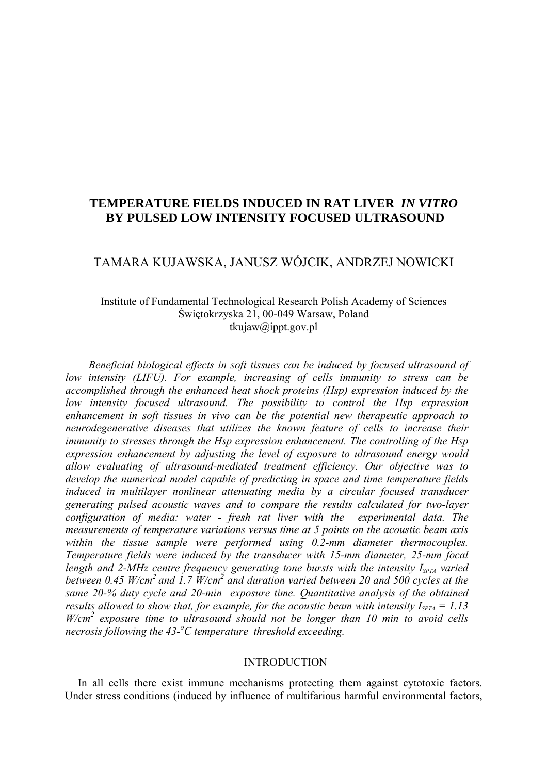# **TEMPERATURE FIELDS INDUCED IN RAT LIVER** *IN VITRO*  **BY PULSED LOW INTENSITY FOCUSED ULTRASOUND**

# TAMARA KUJAWSKA, JANUSZ WÓJCIK, ANDRZEJ NOWICKI

## Institute of Fundamental Technological Research Polish Academy of Sciences Świętokrzyska 21, 00-049 Warsaw, Poland [tkujaw@ippt.gov.pl](mailto:tkujaw@ippt.gov.pl)

*Beneficial biological effects in soft tissues can be induced by focused ultrasound of low intensity (LIFU). For example, increasing of cells immunity to stress can be accomplished through the enhanced heat shock proteins (Hsp) expression induced by the low intensity focused ultrasound. The possibility to control the Hsp expression enhancement in soft tissues in vivo can be the potential new therapeutic approach to neurodegenerative diseases that utilizes the known feature of cells to increase their immunity to stresses through the Hsp expression enhancement. The controlling of the Hsp expression enhancement by adjusting the level of exposure to ultrasound energy would allow evaluating of ultrasound-mediated treatment efficiency. Our objective was to develop the numerical model capable of predicting in space and time temperature fields induced in multilayer nonlinear attenuating media by a circular focused transducer generating pulsed acoustic waves and to compare the results calculated for two-layer configuration of media: water - fresh rat liver with the experimental data. The measurements of temperature variations versus time at 5 points on the acoustic beam axis within the tissue sample were performed using 0.2-mm diameter thermocouples. Temperature fields were induced by the transducer with 15-mm diameter, 25-mm focal length and 2-MHz centre frequency generating tone bursts with the intensity I<sub>SPTA</sub> varied* between 0.45 W/cm<sup>2</sup> and 1.7 W/cm<sup>2</sup> and duration varied between 20 and 500 cycles at the *same 20-% duty cycle and 20-min exposure time. Quantitative analysis of the obtained results allowed to show that, for example, for the acoustic beam with intensity*  $I_{SPTA} = 1.13$ W/cm<sup>2</sup> exposure time to ultrasound should not be longer than 10 min to avoid cells *necrosis following the 43-<sup>o</sup> C temperature threshold exceeding.* 

## INTRODUCTION

In all cells there exist immune mechanisms protecting them against cytotoxic factors. Under stress conditions (induced by influence of multifarious harmful environmental factors,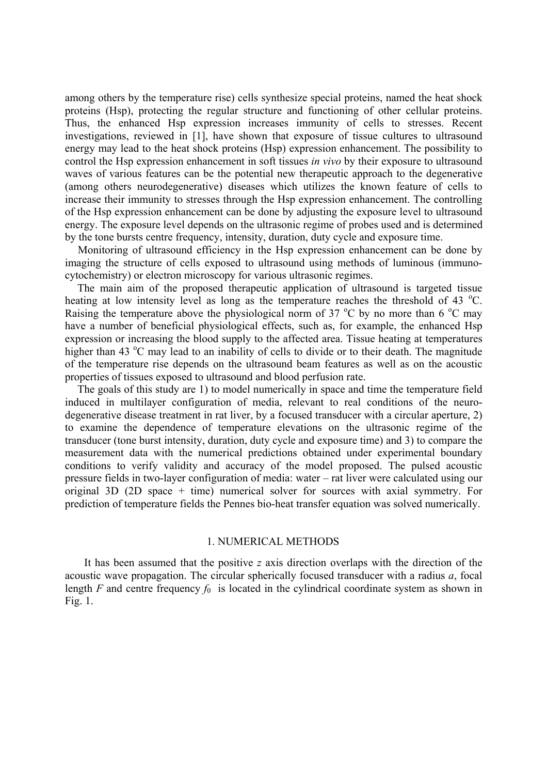among others by the temperature rise) cells synthesize special proteins, named the heat shock proteins (Hsp), protecting the regular structure and functioning of other cellular proteins. Thus, the enhanced Hsp expression increases immunity of cells to stresses. Recent investigations, reviewed in [1], have shown that exposure of tissue cultures to ultrasound energy may lead to the heat shock proteins (Hsp) expression enhancement. The possibility to control the Hsp expression enhancement in soft tissues *in vivo* by their exposure to ultrasound waves of various features can be the potential new therapeutic approach to the degenerative (among others neurodegenerative) diseases which utilizes the known feature of cells to increase their immunity to stresses through the Hsp expression enhancement. The controlling of the Hsp expression enhancement can be done by adjusting the exposure level to ultrasound energy. The exposure level depends on the ultrasonic regime of probes used and is determined by the tone bursts centre frequency, intensity, duration, duty cycle and exposure time.

Monitoring of ultrasound efficiency in the Hsp expression enhancement can be done by imaging the structure of cells exposed to ultrasound using methods of luminous (immunocytochemistry) or electron microscopy for various ultrasonic regimes.

The main aim of the proposed therapeutic application of ultrasound is targeted tissue heating at low intensity level as long as the temperature reaches the threshold of 43 °C. Raising the temperature above the physiological norm of 37  $\rm{^{\circ}C}$  by no more than 6  $\rm{^{\circ}C}$  may have a number of beneficial physiological effects, such as, for example, the enhanced Hsp expression or increasing the blood supply to the affected area. Tissue heating at temperatures higher than 43 °C may lead to an inability of cells to divide or to their death. The magnitude of the temperature rise depends on the ultrasound beam features as well as on the acoustic properties of tissues exposed to ultrasound and blood perfusion rate.

The goals of this study are 1) to model numerically in space and time the temperature field induced in multilayer configuration of media, relevant to real conditions of the neurodegenerative disease treatment in rat liver, by a focused transducer with a circular aperture, 2) to examine the dependence of temperature elevations on the ultrasonic regime of the transducer (tone burst intensity, duration, duty cycle and exposure time) and 3) to compare the measurement data with the numerical predictions obtained under experimental boundary conditions to verify validity and accuracy of the model proposed. The pulsed acoustic pressure fields in two-layer configuration of media: water – rat liver were calculated using our original 3D (2D space + time) numerical solver for sources with axial symmetry. For prediction of temperature fields the Pennes bio-heat transfer equation was solved numerically.

#### 1. NUMERICAL METHODS

It has been assumed that the positive *z* axis direction overlaps with the direction of the acoustic wave propagation. The circular spherically focused transducer with a radius *a*, focal length *F* and centre frequency  $f_0$  is located in the cylindrical coordinate system as shown in Fig. 1.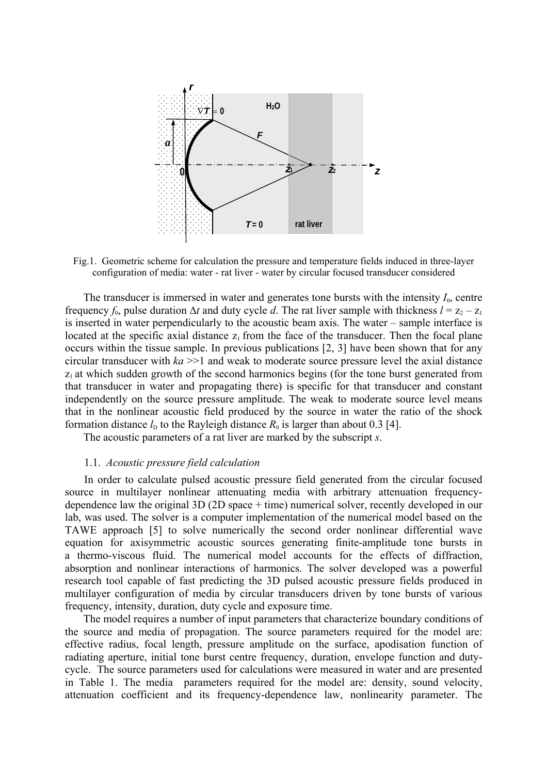

Fig.1. Geometric scheme for calculation the pressure and temperature fields induced in three-layer configuration of media: water - rat liver - water by circular focused transducer considered

The transducer is immersed in water and generates tone bursts with the intensity  $I_0$ , centre frequency  $f_0$ , pulse duration  $\Delta t$  and duty cycle *d*. The rat liver sample with thickness  $l = z_2 - z_1$ is inserted in water perpendicularly to the acoustic beam axis. The water – sample interface is located at the specific axial distance  $z_1$  from the face of the transducer. Then the focal plane occurs within the tissue sample. In previous publications [2, 3] have been shown that for any circular transducer with  $ka \geq 1$  and weak to moderate source pressure level the axial distance  $z_1$  at which sudden growth of the second harmonics begins (for the tone burst generated from that transducer in water and propagating there) is specific for that transducer and constant independently on the source pressure amplitude. The weak to moderate source level means that in the nonlinear acoustic field produced by the source in water the ratio of the shock formation distance  $l<sub>D</sub>$  to the Rayleigh distance  $R<sub>0</sub>$  is larger than about 0.3 [4].

The acoustic parameters of a rat liver are marked by the subscript *s*.

### 1.1. *Acoustic pressure field calculation*

In order to calculate pulsed acoustic pressure field generated from the circular focused source in multilayer nonlinear attenuating media with arbitrary attenuation frequencydependence law the original 3D (2D space + time) numerical solver, recently developed in our lab, was used. The solver is a computer implementation of the numerical model based on the TAWE approach [5] to solve numerically the second order nonlinear differential wave equation for axisymmetric acoustic sources generating finite-amplitude tone bursts in a thermo-viscous fluid. The numerical model accounts for the effects of diffraction, absorption and nonlinear interactions of harmonics. The solver developed was a powerful research tool capable of fast predicting the 3D pulsed acoustic pressure fields produced in multilayer configuration of media by circular transducers driven by tone bursts of various frequency, intensity, duration, duty cycle and exposure time.

The model requires a number of input parameters that characterize boundary conditions of the source and media of propagation. The source parameters required for the model are: effective radius, focal length, pressure amplitude on the surface, apodisation function of radiating aperture, initial tone burst centre frequency, duration, envelope function and dutycycle. The source parameters used for calculations were measured in water and are presented in Table 1. The media parameters required for the model are: density, sound velocity, attenuation coefficient and its frequency-dependence law, nonlinearity parameter. The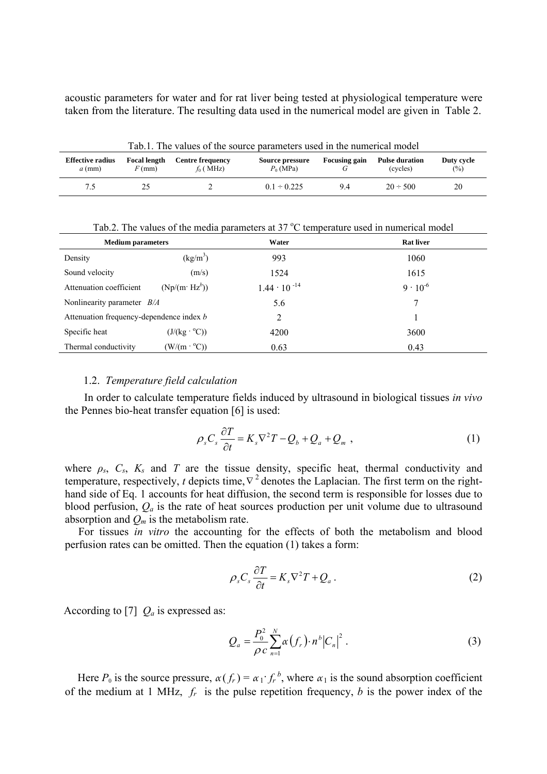acoustic parameters for water and for rat liver being tested at physiological temperature were taken from the literature. The resulting data used in the numerical model are given in Table 2.

| Tab.1. The values of the source parameters used in the numerical model |                                 |                                        |                                |                      |                                   |                   |
|------------------------------------------------------------------------|---------------------------------|----------------------------------------|--------------------------------|----------------------|-----------------------------------|-------------------|
| <b>Effective radius</b><br>$a$ (mm)                                    | <b>Focal length</b><br>$F$ (mm) | <b>Centre frequency</b><br>$f_0$ (MHz) | Source pressure<br>$P_0$ (MPa) | <b>Focusing gain</b> | <b>Pulse duration</b><br>(cycles) | Duty cycle<br>(%) |
|                                                                        |                                 |                                        | $01 \div 0.225$                | 9.4                  | $20 \div 500$                     | 20                |

**Medium parameters The Contract Contract Contract Contract Contract Contract Contract Contract Contract Contract Contract Contract Contract Contract Contract Contract Contract Contract Contract Contract Contract Contract C** Density  $(kg/m^3)$ ) 993 1060 Sound velocity  $(m/s)$  1524 1615 Attenuation coefficient  $(Np/(m· Hz<sup>b</sup>))$  $1.44 \cdot 10^{-14}$  9 · 10<sup>-6</sup> Nonlinearity parameter *B/A* 5.6 7 Attenuation frequency-dependence index *b* 2 1 Specific heat  $(J/(kg \cdot {}^{o}C))$  $(1)$  4200 3600 Thermal conductivity  $(W/(m \cdot {}^{\circ}C))$  $(0.63)$  0.63 0.43

Tab.2. The values of the media parameters at  $37^{\circ}$ C temperature used in numerical model

#### 1.2. *Temperature field calculation*

In order to calculate temperature fields induced by ultrasound in biological tissues *in vivo* the Pennes bio-heat transfer equation [6] is used:

$$
\rho_s C_s \frac{\partial T}{\partial t} = K_s \nabla^2 T - Q_b + Q_a + Q_m \t\t(1)
$$

where  $\rho_s$ ,  $C_s$ ,  $K_s$  and  $T$  are the tissue density, specific heat, thermal conductivity and temperature, respectively, *t* depicts time,  $\nabla^2$  denotes the Laplacian. The first term on the righthand side of Eq. 1 accounts for heat diffusion, the second term is responsible for losses due to blood perfusion, *Qa* is the rate of heat sources production per unit volume due to ultrasound absorption and *Qm* is the metabolism rate.

For tissues *in vitro* the accounting for the effects of both the metabolism and blood perfusion rates can be omitted. Then the equation (1) takes a form:

$$
\rho_s C_s \frac{\partial T}{\partial t} = K_s \nabla^2 T + Q_a \,. \tag{2}
$$

According to [7]  $Q_a$  is expressed as:

$$
Q_{a} = \frac{P_{0}^{2}}{\rho c} \sum_{n=1}^{N} \alpha(f_{r}) \cdot n^{b} |C_{n}|^{2} . \qquad (3)
$$

Here  $P_0$  is the source pressure,  $\alpha(f_r) = \alpha_1 f_r^b$ , where  $\alpha_1$  is the sound absorption coefficient of the medium at 1 MHz, *fr* is the pulse repetition frequency, *b* is the power index of the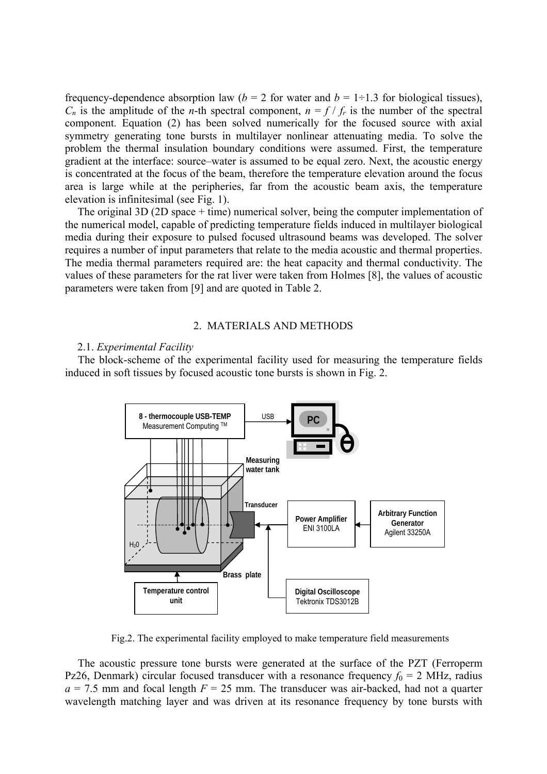frequency-dependence absorption law ( $b = 2$  for water and  $b = 1 \div 1.3$  for biological tissues),  $C_n$  is the amplitude of the *n*-th spectral component,  $n = f / f_r$  is the number of the spectral component. Equation (2) has been solved numerically for the focused source with axial symmetry generating tone bursts in multilayer nonlinear attenuating media. To solve the problem the thermal insulation boundary conditions were assumed. First, the temperature gradient at the interface: source–water is assumed to be equal zero. Next, the acoustic energy is concentrated at the focus of the beam, therefore the temperature elevation around the focus area is large while at the peripheries, far from the acoustic beam axis, the temperature elevation is infinitesimal (see Fig. 1).

The original 3D (2D space + time) numerical solver, being the computer implementation of the numerical model, capable of predicting temperature fields induced in multilayer biological media during their exposure to pulsed focused ultrasound beams was developed. The solver requires a number of input parameters that relate to the media acoustic and thermal properties. The media thermal parameters required are: the heat capacity and thermal conductivity. The values of these parameters for the rat liver were taken from Holmes [8], the values of acoustic parameters were taken from [9] and are quoted in Table 2.

#### 2. MATERIALS AND METHODS

#### 2.1. *Experimental Facility*

The block-scheme of the experimental facility used for measuring the temperature fields induced in soft tissues by focused acoustic tone bursts is shown in Fig. 2.



Fig.2. The experimental facility employed to make temperature field measurements

The acoustic pressure tone bursts were generated at the surface of the PZT (Ferroperm Pz26, Denmark) circular focused transducer with a resonance frequency  $f_0 = 2$  MHz, radius  $a = 7.5$  mm and focal length  $F = 25$  mm. The transducer was air-backed, had not a quarter wavelength matching layer and was driven at its resonance frequency by tone bursts with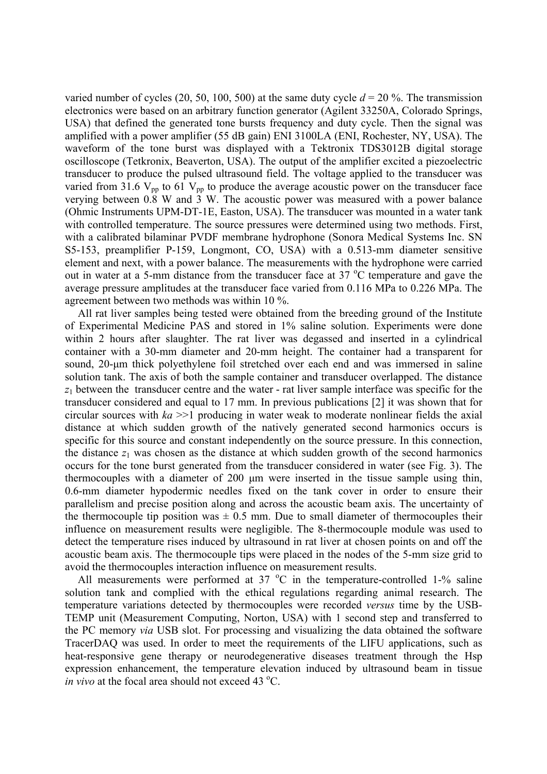varied number of cycles (20, 50, 100, 500) at the same duty cycle  $d = 20\%$ . The transmission electronics were based on an arbitrary function generator (Agilent 33250A, Colorado Springs, USA) that defined the generated tone bursts frequency and duty cycle. Then the signal was amplified with a power amplifier (55 dB gain) ENI 3100LA (ENI, Rochester, NY, USA). The waveform of the tone burst was displayed with a Tektronix TDS3012B digital storage oscilloscope (Tetkronix, Beaverton, USA). The output of the amplifier excited a piezoelectric transducer to produce the pulsed ultrasound field. The voltage applied to the transducer was varied from 31.6  $V_{\text{pp}}$  to 61  $V_{\text{pp}}$  to produce the average acoustic power on the transducer face verying between  $0.\overline{8}$  W and  $\overline{3}$  W. The acoustic power was measured with a power balance (Ohmic Instruments UPM-DT-1E, Easton, USA). The transducer was mounted in a water tank with controlled temperature. The source pressures were determined using two methods. First, with a calibrated bilaminar PVDF membrane hydrophone (Sonora Medical Systems Inc. SN S5-153, preamplifier P-159, Longmont, CO, USA) with a 0.513-mm diameter sensitive element and next, with a power balance. The measurements with the hydrophone were carried out in water at a 5-mm distance from the transducer face at  $37^{\circ}$ C temperature and gave the average pressure amplitudes at the transducer face varied from 0.116 MPa to 0.226 MPa. The agreement between two methods was within 10 %.

All rat liver samples being tested were obtained from the breeding ground of the Institute of Experimental Medicine PAS and stored in 1% saline solution. Experiments were done within 2 hours after slaughter. The rat liver was degassed and inserted in a cylindrical container with a 30-mm diameter and 20-mm height. The container had a transparent for sound, 20-um thick polyethylene foil stretched over each end and was immersed in saline solution tank. The axis of both the sample container and transducer overlapped. The distance  $z_1$  between the transducer centre and the water - rat liver sample interface was specific for the transducer considered and equal to 17 mm. In previous publications [2] it was shown that for circular sources with *ka* >>1 producing in water weak to moderate nonlinear fields the axial distance at which sudden growth of the natively generated second harmonics occurs is specific for this source and constant independently on the source pressure. In this connection, the distance  $z_1$  was chosen as the distance at which sudden growth of the second harmonics occurs for the tone burst generated from the transducer considered in water (see Fig. 3). The thermocouples with a diameter of 200 µm were inserted in the tissue sample using thin, 0.6-mm diameter hypodermic needles fixed on the tank cover in order to ensure their parallelism and precise position along and across the acoustic beam axis. The uncertainty of the thermocouple tip position was  $\pm$  0.5 mm. Due to small diameter of thermocouples their influence on measurement results were negligible. The 8-thermocouple module was used to detect the temperature rises induced by ultrasound in rat liver at chosen points on and off the acoustic beam axis. The thermocouple tips were placed in the nodes of the 5-mm size grid to avoid the thermocouples interaction influence on measurement results.

All measurements were performed at  $37 \text{ °C}$  in the temperature-controlled 1-% saline solution tank and complied with the ethical regulations regarding animal research. The temperature variations detected by thermocouples were recorded *versus* time by the USB-TEMP unit (Measurement Computing, Norton, USA) with 1 second step and transferred to the PC memory *via* USB slot. For processing and visualizing the data obtained the software TracerDAQ was used. In order to meet the requirements of the LIFU applications, such as heat-responsive gene therapy or neurodegenerative diseases treatment through the Hsp expression enhancement, the temperature elevation induced by ultrasound beam in tissue *in vivo* at the focal area should not exceed 43 °C.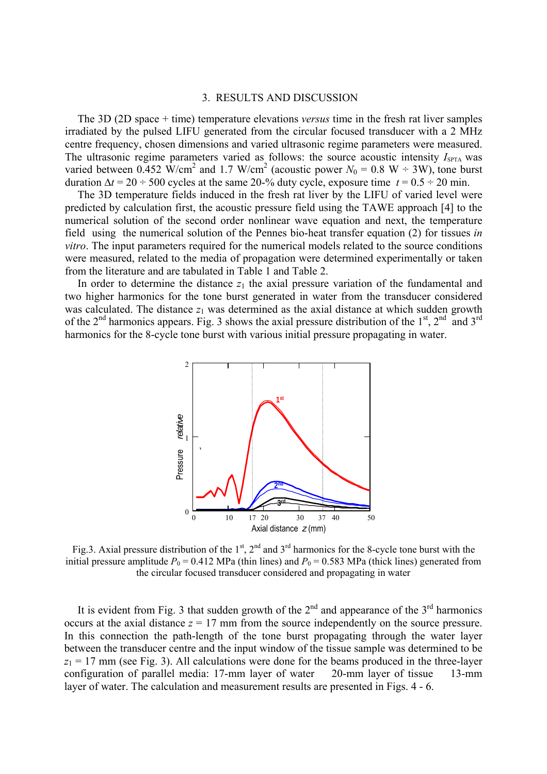## 3. RESULTS AND DISCUSSION

The 3D (2D space + time) temperature elevations *versus* time in the fresh rat liver samples irradiated by the pulsed LIFU generated from the circular focused transducer with a 2 MHz centre frequency, chosen dimensions and varied ultrasonic regime parameters were measured. The ultrasonic regime parameters varied as follows: the source acoustic intensity  $I_{\text{SPTA}}$  was varied between 0.452 W/cm<sup>2</sup> and 1.7 W/cm<sup>2</sup> (acoustic power  $N_0 = 0.8$  W  $\div$  3W), tone burst duration  $\Delta t = 20 \div 500$  cycles at the same 20-% duty cycle, exposure time  $t = 0.5 \div 20$  min.

The 3D temperature fields induced in the fresh rat liver by the LIFU of varied level were predicted by calculation first, the acoustic pressure field using the TAWE approach [4] to the numerical solution of the second order nonlinear wave equation and next, the temperature field using the numerical solution of the Pennes bio-heat transfer equation (2) for tissues *in vitro*. The input parameters required for the numerical models related to the source conditions were measured, related to the media of propagation were determined experimentally or taken from the literature and are tabulated in Table 1 and Table 2.

In order to determine the distance  $z_1$  the axial pressure variation of the fundamental and two higher harmonics for the tone burst generated in water from the transducer considered was calculated. The distance  $z_1$  was determined as the axial distance at which sudden growth of the 2<sup>nd</sup> harmonics appears. Fig. 3 shows the axial pressure distribution of the 1<sup>st</sup>, 2<sup>nd</sup> and 3<sup>rd</sup> harmonics for the 8-cycle tone burst with various initial pressure propagating in water.



Fig.3. Axial pressure distribution of the  $1<sup>st</sup>$ ,  $2<sup>nd</sup>$  and  $3<sup>rd</sup>$  harmonics for the 8-cycle tone burst with the initial pressure amplitude  $P_0 = 0.412$  MPa (thin lines) and  $P_0 = 0.583$  MPa (thick lines) generated from the circular focused transducer considered and propagating in water

It is evident from Fig. 3 that sudden growth of the  $2<sup>nd</sup>$  and appearance of the  $3<sup>rd</sup>$  harmonics occurs at the axial distance  $z = 17$  mm from the source independently on the source pressure. In this connection the path-length of the tone burst propagating through the water layer between the transducer centre and the input window of the tissue sample was determined to be  $z_1 = 17$  mm (see Fig. 3). All calculations were done for the beams produced in the three-layer configuration of parallel media: 17-mm layer of water 20-mm layer of tissue 13-mm layer of water. The calculation and measurement results are presented in Figs. 4 - 6.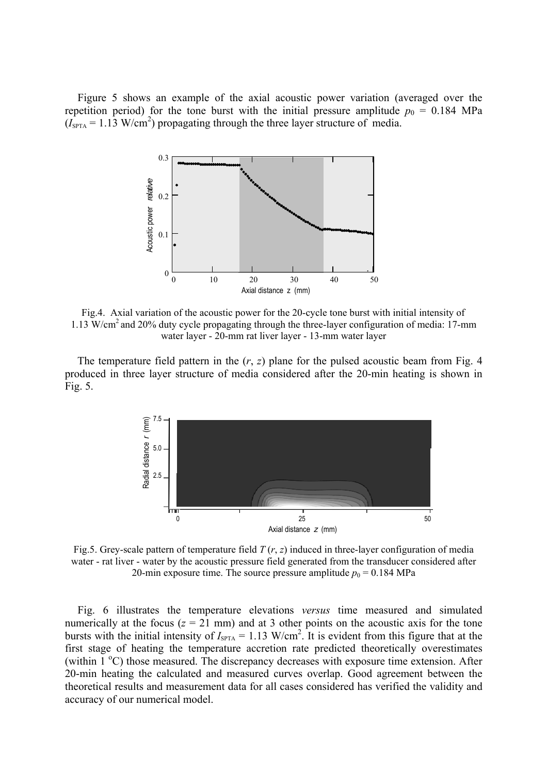Figure 5 shows an example of the axial acoustic power variation (averaged over the repetition period) for the tone burst with the initial pressure amplitude  $p_0 = 0.184$  MPa  $(I<sub>SPTA</sub> = 1.13 W/cm<sup>2</sup>)$  propagating through the three layer structure of media.



Fig.4. Axial variation of the acoustic power for the 20-cycle tone burst with initial intensity of 1.13 W/cm2 and 20% duty cycle propagating through the three-layer configuration of media: 17-mm water layer - 20-mm rat liver layer - 13-mm water layer

The temperature field pattern in the  $(r, z)$  plane for the pulsed acoustic beam from Fig. 4 produced in three layer structure of media considered after the 20-min heating is shown in Fig. 5.



Fig.5. Grey-scale pattern of temperature field *T* (*r*, *z*) induced in three-layer configuration of media water - rat liver - water by the acoustic pressure field generated from the transducer considered after 20-min exposure time. The source pressure amplitude  $p_0 = 0.184 \text{ MPa}$ 

Fig. 6 illustrates the temperature elevations *versus* time measured and simulated numerically at the focus  $(z = 21 \text{ mm})$  and at 3 other points on the acoustic axis for the tone bursts with the initial intensity of  $I_{\text{SPTA}} = 1.13 \text{ W/cm}^2$ . It is evident from this figure that at the first stage of heating the temperature accretion rate predicted theoretically overestimates (within  $1^{\circ}$ C) those measured. The discrepancy decreases with exposure time extension. After 20-min heating the calculated and measured curves overlap. Good agreement between the theoretical results and measurement data for all cases considered has verified the validity and accuracy of our numerical model.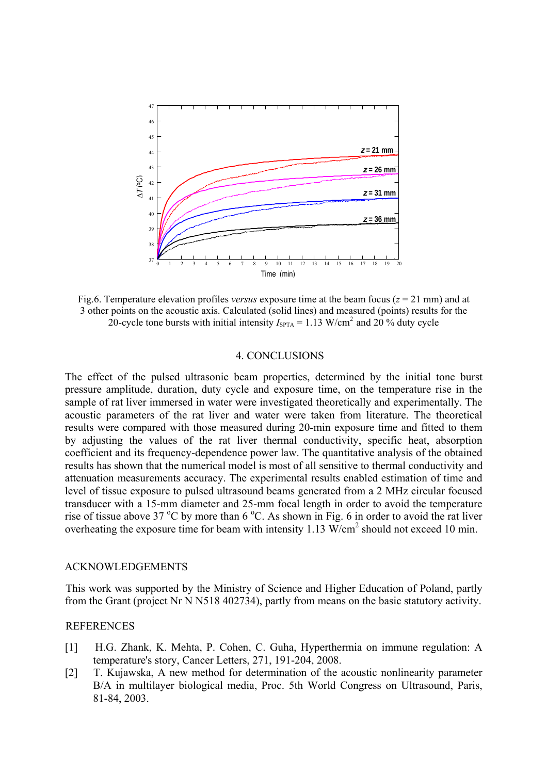

Fig.6. Temperature elevation profiles *versus* exposure time at the beam focus ( $z = 21$  mm) and at 3 other points on the acoustic axis. Calculated (solid lines) and measured (points) results for the 20-cycle tone bursts with initial intensity  $I_{\text{SPTA}} = 1.13 \text{ W/cm}^2$  and 20 % duty cycle

#### 4. CONCLUSIONS

The effect of the pulsed ultrasonic beam properties, determined by the initial tone burst pressure amplitude, duration, duty cycle and exposure time, on the temperature rise in the sample of rat liver immersed in water were investigated theoretically and experimentally. The acoustic parameters of the rat liver and water were taken from literature. The theoretical results were compared with those measured during 20-min exposure time and fitted to them by adjusting the values of the rat liver thermal conductivity, specific heat, absorption coefficient and its frequency-dependence power law. The quantitative analysis of the obtained results has shown that the numerical model is most of all sensitive to thermal conductivity and attenuation measurements accuracy. The experimental results enabled estimation of time and level of tissue exposure to pulsed ultrasound beams generated from a 2 MHz circular focused transducer with a 15-mm diameter and 25-mm focal length in order to avoid the temperature rise of tissue above 37  $\rm{^{\circ}C}$  by more than 6  $\rm{^{\circ}C}$ . As shown in Fig. 6 in order to avoid the rat liver overheating the exposure time for beam with intensity 1.13  $\text{W/cm}^2$  should not exceed 10 min.

#### ACKNOWLEDGEMENTS

This work was supported by the Ministry of Science and Higher Education of Poland, partly from the Grant (project Nr N N518 402734), partly from means on the basic statutory activity.

#### REFERENCES

- [1] H.G. Zhank, K. Mehta, P. Cohen, C. Guha, Hyperthermia on immune regulation: A temperature's story, Cancer Letters, 271, 191-204, 2008.
- [2] T. Kujawska, A new method for determination of the acoustic nonlinearity parameter B/A in multilayer biological media, Proc. 5th World Congress on Ultrasound, Paris, 81-84, 2003.